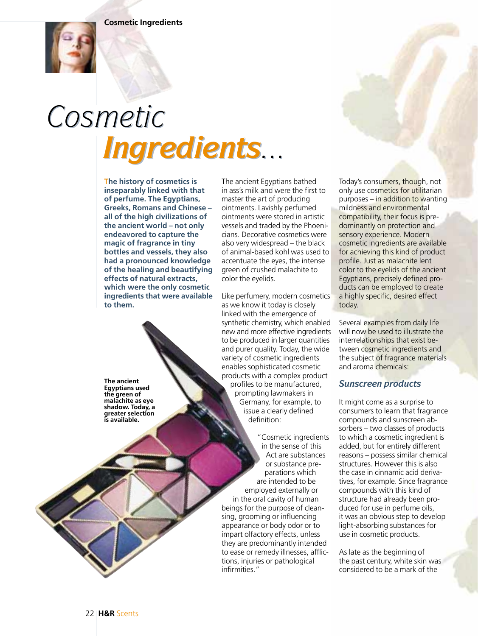

## *Cosmetic Ingredients... Cosmetic Ingredients...*

**The history of cosmetics is inseparably linked with that of perfume. The Egyptians, Greeks, Romans and Chinese – all of the high civilizations of the ancient world – not only endeavored to capture the magic of fragrance in tiny bottles and vessels, they also had a pronounced knowledge of the healing and beautifying effects of natural extracts, which were the only cosmetic ingredients that were available to them.**

**The ancient Egyptians used the green of malachite as eye shadow. Today, a greater selection is available.**

The ancient Egyptians bathed in ass's milk and were the first to master the art of producing ointments. Lavishly perfumed ointments were stored in artistic vessels and traded by the Phoenicians. Decorative cosmetics were also very widespread – the black of animal-based kohl was used to accentuate the eyes, the intense green of crushed malachite to color the eyelids.

Like perfumery, modern cosmetics as we know it today is closely linked with the emergence of synthetic chemistry, which enabled new and more effective ingredients to be produced in larger quantities and purer quality. Today, the wide variety of cosmetic ingredients enables sophisticated cosmetic products with a complex product profiles to be manufactured, prompting lawmakers in Germany, for example, to issue a clearly defined definition:

"Cosmetic ingredients in the sense of this Act are substances or substance preparations which are intended to be employed externally or in the oral cavity of human beings for the purpose of cleansing, grooming or influencing appearance or body odor or to impart olfactory effects, unless they are predominantly intended to ease or remedy illnesses, afflictions, injuries or pathological infirmities."

Today's consumers, though, not only use cosmetics for utilitarian purposes – in addition to wanting mildness and environmental compatibility, their focus is predominantly on protection and sensory experience. Modern cosmetic ingredients are available for achieving this kind of product profile. Just as malachite lent color to the eyelids of the ancient Egyptians, precisely defined products can be employed to create a highly specific, desired effect today.

Several examples from daily life will now be used to illustrate the interrelationships that exist between cosmetic ingredients and the subject of fragrance materials and aroma chemicals:

## *Sunscreen products*

It might come as a surprise to consumers to learn that fragrance compounds and sunscreen absorbers – two classes of products to which a cosmetic ingredient is added, but for entirely different reasons – possess similar chemical structures. However this is also the case in cinnamic acid derivatives, for example. Since fragrance compounds with this kind of structure had already been produced for use in perfume oils, it was an obvious step to develop light-absorbing substances for use in cosmetic products.

As late as the beginning of the past century, white skin was considered to be a mark of the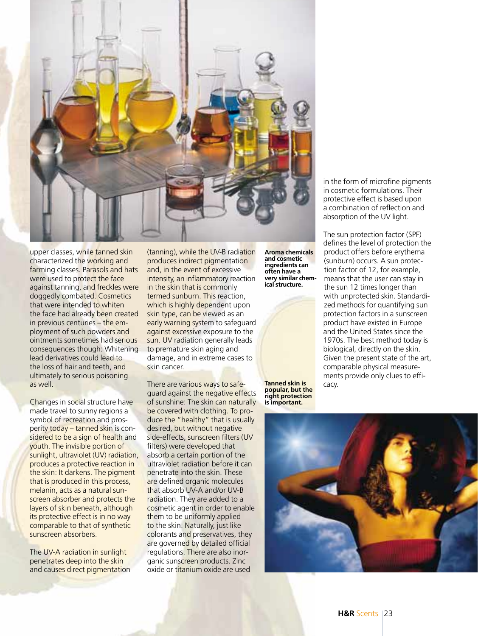

upper classes, while tanned skin characterized the working and farming classes. Parasols and hats were used to protect the face against tanning, and freckles were doggedly combated. Cosmetics that were intended to whiten the face had already been created in previous centuries – the employment of such powders and ointments sometimes had serious consequences though: Whitening lead derivatives could lead to the loss of hair and teeth, and ultimately to serious poisoning as well.

Changes in social structure have made travel to sunny regions a symbol of recreation and prosperity today – tanned skin is considered to be a sign of health and youth. The invisible portion of sunlight, ultraviolet (UV) radiation, produces a protective reaction in the skin: It darkens. The pigment that is produced in this process, melanin, acts as a natural sunscreen absorber and protects the layers of skin beneath, although its protective effect is in no way comparable to that of synthetic sunscreen absorbers.

The UV-A radiation in sunlight penetrates deep into the skin and causes direct pigmentation

(tanning), while the UV-B radiation produces indirect pigmentation and, in the event of excessive intensity, an inflammatory reaction in the skin that is commonly termed sunburn. This reaction, which is highly dependent upon skin type, can be viewed as an early warning system to safeguard against excessive exposure to the sun. UV radiation generally leads to premature skin aging and damage, and in extreme cases to skin cancer.

There are various ways to safeguard against the negative effects of sunshine: The skin can naturally be covered with clothing. To produce the "healthy" that is usually desired, but without negative side-effects, sunscreen filters (UV filters) were developed that absorb a certain portion of the ultraviolet radiation before it can penetrate into the skin. These are defined organic molecules that absorb UV-A and/or UV-B radiation. They are added to a cosmetic agent in order to enable them to be uniformly applied to the skin. Naturally, just like colorants and preservatives, they are governed by detailed official regulations. There are also inorganic sunscreen products. Zinc oxide or titanium oxide are used

**Aroma chemicals and cosmetic ingredients can often have a very similar chemical structure.**

**Tanned skin is** cacy.<br>**popular, but the right protection is important.**

in the form of microfine pigments in cosmetic formulations. Their protective effect is based upon a combination of reflection and absorption of the UV light.

The sun protection factor (SPF) defines the level of protection the product offers before erythema (sunburn) occurs. A sun protection factor of 12, for example, means that the user can stay in the sun 12 times longer than with unprotected skin. Standardized methods for quantifying sun protection factors in a sunscreen product have existed in Europe and the United States since the 1970s. The best method today is biological, directly on the skin. Given the present state of the art, comparable physical measurements provide only clues to effi-

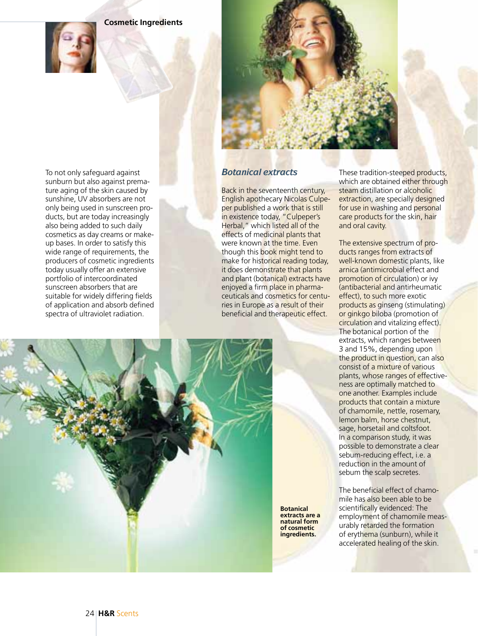**Cosmetic Ingredients**





To not only safeguard against sunburn but also against premature aging of the skin caused by sunshine, UV absorbers are not only being used in sunscreen products, but are today increasingly also being added to such daily cosmetics as day creams or makeup bases. In order to satisfy this wide range of requirements, the producers of cosmetic ingredients today usually offer an extensive portfolio of intercoordinated sunscreen absorbers that are suitable for widely differing fields

of application and absorb defined spectra of ultraviolet radiation.

## *Botanical extracts*

Back in the seventeenth century, English apothecary Nicolas Culpeper published a work that is still in existence today, "Culpeper's Herbal," which listed all of the effects of medicinal plants that were known at the time. Even though this book might tend to make for historical reading today, it does demonstrate that plants and plant (botanical) extracts have enjoyed a firm place in pharmaceuticals and cosmetics for centuries in Europe as a result of their beneficial and therapeutic effect.

These tradition-steeped products, which are obtained either through steam distillation or alcoholic extraction, are specially designed for use in washing and personal care products for the skin, hair and oral cavity.

The extensive spectrum of products ranges from extracts of well-known domestic plants, like arnica (antimicrobial effect and promotion of circulation) or ivy (antibacterial and antirheumatic effect), to such more exotic products as ginseng (stimulating) or ginkgo biloba (promotion of circulation and vitalizing effect). The botanical portion of the extracts, which ranges between 3 and 15%, depending upon the product in question, can also consist of a mixture of various plants, whose ranges of effectiveness are optimally matched to one another. Examples include products that contain a mixture of chamomile, nettle, rosemary, lemon balm, horse chestnut, sage, horsetail and coltsfoot. In a comparison study, it was possible to demonstrate a clear sebum-reducing effect, i.e. a reduction in the amount of sebum the scalp secretes.

The beneficial effect of chamomile has also been able to be scientifically evidenced: The employment of chamomile measurably retarded the formation of erythema (sunburn), while it accelerated healing of the skin.